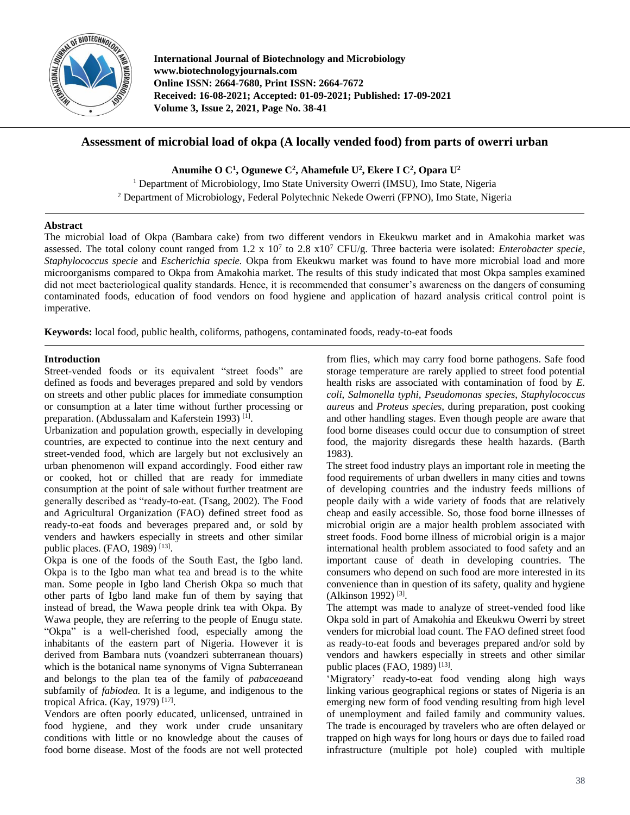

**International Journal of Biotechnology and Microbiology www.biotechnologyjournals.com Online ISSN: 2664-7680, Print ISSN: 2664-7672 Received: 16-08-2021; Accepted: 01-09-2021; Published: 17-09-2021 Volume 3, Issue 2, 2021, Page No. 38-41**

# **Assessment of microbial load of okpa (A locally vended food) from parts of owerri urban**

**Anumihe O C<sup>1</sup> , Ogunewe C<sup>2</sup> , Ahamefule U<sup>2</sup> , Ekere I C<sup>2</sup> , Opara U<sup>2</sup>**

<sup>1</sup> Department of Microbiology, Imo State University Owerri (IMSU), Imo State, Nigeria <sup>2</sup> Department of Microbiology, Federal Polytechnic Nekede Owerri (FPNO), Imo State, Nigeria

## **Abstract**

The microbial load of Okpa (Bambara cake) from two different vendors in Ekeukwu market and in Amakohia market was assessed. The total colony count ranged from  $1.2 \times 10^7$  to  $2.8 \times 10^7$  CFU/g. Three bacteria were isolated: *Enterobacter specie*, *Staphylococcus specie* and *Escherichia specie.* Okpa from Ekeukwu market was found to have more microbial load and more microorganisms compared to Okpa from Amakohia market. The results of this study indicated that most Okpa samples examined did not meet bacteriological quality standards. Hence, it is recommended that consumer's awareness on the dangers of consuming contaminated foods, education of food vendors on food hygiene and application of hazard analysis critical control point is imperative.

**Keywords:** local food, public health, coliforms, pathogens, contaminated foods, ready-to-eat foods

# **Introduction**

Street-vended foods or its equivalent "street foods" are defined as foods and beverages prepared and sold by vendors on streets and other public places for immediate consumption or consumption at a later time without further processing or preparation. (Abdussalam and Kaferstein 1993)<sup>[1]</sup>.

Urbanization and population growth, especially in developing countries, are expected to continue into the next century and street-vended food, which are largely but not exclusively an urban phenomenon will expand accordingly. Food either raw or cooked, hot or chilled that are ready for immediate consumption at the point of sale without further treatment are generally described as "ready-to-eat. (Tsang, 2002). The Food and Agricultural Organization (FAO) defined street food as ready-to-eat foods and beverages prepared and, or sold by venders and hawkers especially in streets and other similar public places. (FAO, 1989)<sup>[13]</sup>.

Okpa is one of the foods of the South East, the Igbo land. Okpa is to the Igbo man what tea and bread is to the white man. Some people in Igbo land Cherish Okpa so much that other parts of Igbo land make fun of them by saying that instead of bread, the Wawa people drink tea with Okpa. By Wawa people, they are referring to the people of Enugu state. "Okpa" is a well**-**cherished food, especially among the inhabitants of the eastern part of Nigeria. However it is derived from Bambara nuts (voandzeri subterranean thouars) which is the botanical name synonyms of Vigna Subterranean and belongs to the plan tea of the family of *pabaceae*and subfamily of *fabiodea.* It is a legume, and indigenous to the tropical Africa. (Kay, 1979)<sup>[17]</sup>.

Vendors are often poorly educated, unlicensed, untrained in food hygiene, and they work under crude unsanitary conditions with little or no knowledge about the causes of food borne disease. Most of the foods are not well protected

from flies, which may carry food borne pathogens. Safe food storage temperature are rarely applied to street food potential health risks are associated with contamination of food by *E. coli*, *Salmonella typhi, Pseudomonas species*, *Staphylococcus aureus* and *Proteus species*, during preparation, post cooking and other handling stages. Even though people are aware that food borne diseases could occur due to consumption of street food, the majority disregards these health hazards. (Barth 1983).

The street food industry plays an important role in meeting the food requirements of urban dwellers in many cities and towns of developing countries and the industry feeds millions of people daily with a wide variety of foods that are relatively cheap and easily accessible. So, those food borne illnesses of microbial origin are a major health problem associated with street foods. Food borne illness of microbial origin is a major international health problem associated to food safety and an important cause of death in developing countries. The consumers who depend on such food are more interested in its convenience than in question of its safety, quality and hygiene (Alkinson 1992)<sup>[3]</sup>.

The attempt was made to analyze of street-vended food like Okpa sold in part of Amakohia and Ekeukwu Owerri by street venders for microbial load count. The FAO defined street food as ready-to-eat foods and beverages prepared and/or sold by vendors and hawkers especially in streets and other similar public places (FAO, 1989)<sup>[13]</sup>.

'Migratory' ready-to-eat food vending along high ways linking various geographical regions or states of Nigeria is an emerging new form of food vending resulting from high level of unemployment and failed family and community values. The trade is encouraged by travelers who are often delayed or trapped on high ways for long hours or days due to failed road infrastructure (multiple pot hole) coupled with multiple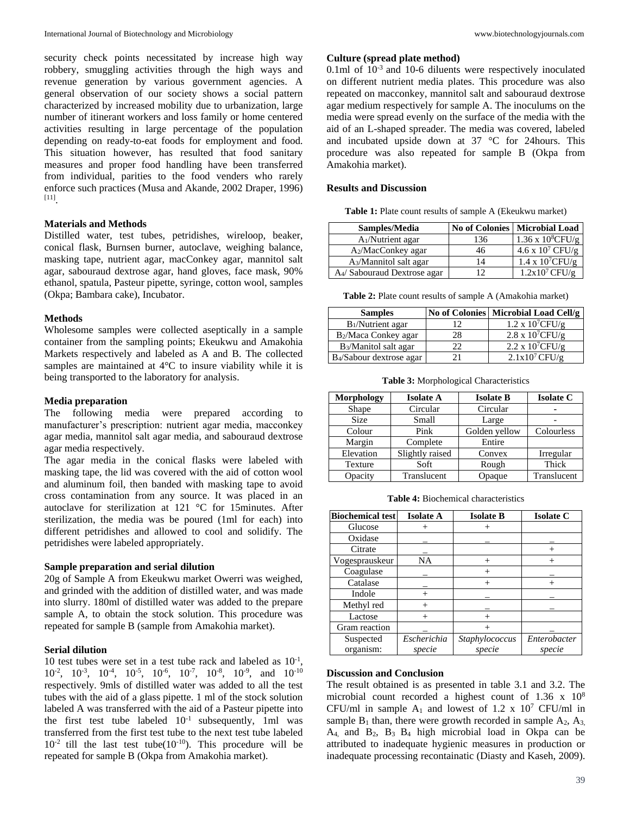security check points necessitated by increase high way robbery, smuggling activities through the high ways and revenue generation by various government agencies. A general observation of our society shows a social pattern characterized by increased mobility due to urbanization, large number of itinerant workers and loss family or home centered activities resulting in large percentage of the population depending on ready-to-eat foods for employment and food. This situation however, has resulted that food sanitary measures and proper food handling have been transferred from individual, parities to the food venders who rarely enforce such practices (Musa and Akande, 2002 Draper, 1996) [11] .

#### **Materials and Methods**

Distilled water, test tubes, petridishes, wireloop, beaker, conical flask, Burnsen burner, autoclave, weighing balance, masking tape, nutrient agar, macConkey agar, mannitol salt agar, sabouraud dextrose agar, hand gloves, face mask, 90% ethanol, spatula, Pasteur pipette, syringe, cotton wool, samples (Okpa; Bambara cake), Incubator.

#### **Methods**

Wholesome samples were collected aseptically in a sample container from the sampling points; Ekeukwu and Amakohia Markets respectively and labeled as A and B. The collected samples are maintained at 4°C to insure viability while it is being transported to the laboratory for analysis.

## **Media preparation**

The following media were prepared according to manufacturer's prescription: nutrient agar media, macconkey agar media, mannitol salt agar media, and sabouraud dextrose agar media respectively.

The agar media in the conical flasks were labeled with masking tape, the lid was covered with the aid of cotton wool and aluminum foil, then banded with masking tape to avoid cross contamination from any source. It was placed in an autoclave for sterilization at 121 °C for 15minutes. After sterilization, the media was be poured (1ml for each) into different petridishes and allowed to cool and solidify. The petridishes were labeled appropriately.

### **Sample preparation and serial dilution**

20g of Sample A from Ekeukwu market Owerri was weighed, and grinded with the addition of distilled water, and was made into slurry. 180ml of distilled water was added to the prepare sample A, to obtain the stock solution. This procedure was repeated for sample B (sample from Amakohia market).

#### **Serial dilution**

10 test tubes were set in a test tube rack and labeled as  $10^{-1}$ ,  $10^{-2}$ ,  $10^{-3}$ ,  $10^{-4}$ ,  $10^{-5}$ ,  $10^{-6}$ ,  $10^{-7}$ ,  $10^{-8}$ ,  $10^{-9}$ , and  $10^{-10}$ respectively. 9mls of distilled water was added to all the test tubes with the aid of a glass pipette. 1 ml of the stock solution labeled A was transferred with the aid of a Pasteur pipette into the first test tube labeled  $10^{-1}$  subsequently, 1ml was transferred from the first test tube to the next test tube labeled  $10^{-2}$  till the last test tube( $10^{-10}$ ). This procedure will be repeated for sample B (Okpa from Amakohia market).

### **Culture (spread plate method)**

 $0.1$ ml of  $10^{-3}$  and  $10-6$  diluents were respectively inoculated on different nutrient media plates. This procedure was also repeated on macconkey, mannitol salt and sabouraud dextrose agar medium respectively for sample A. The inoculums on the media were spread evenly on the surface of the media with the aid of an L-shaped spreader. The media was covered, labeled and incubated upside down at 37 °C for 24hours. This procedure was also repeated for sample B (Okpa from Amakohia market).

#### **Results and Discussion**

**Table 1:** Plate count results of sample A (Ekeukwu market)

| Samples/Media                      | <b>No of Colonies</b> | <b>Microbial Load</b>     |
|------------------------------------|-----------------------|---------------------------|
| $A_1/N$ utrient agar               | 136                   | 1.36 x $10^8$ CFU/g       |
| A <sub>2</sub> /MacConkey agar     | 46                    | $4.6 \times 10^7$ CFU/g   |
| A <sub>3</sub> /Mannitol salt agar | 14                    | $1.4 \times 10^{7}$ CFU/g |
| A4/ Sabouraud Dextrose agar        | 12                    | $1.2x10^7$ CFU/g          |

**Table 2:** Plate count results of sample A (Amakohia market)

| <b>Samples</b>                       |    | No of Colonies   Microbial Load Cell/g |
|--------------------------------------|----|----------------------------------------|
| B <sub>1</sub> /Nutrient agar        |    | $1.2 \times 10^{7}$ CFU/g              |
| B <sub>2</sub> /Maca Conkey agar     | 28 | $2.8 \times 10^{7}$ CFU/g              |
| B <sub>3</sub> /Manitol salt agar    | 77 | $2.2 \times 10^{7}$ CFU/g              |
| B <sub>4</sub> /Sabour dextrose agar |    | $2.1x10^7$ CFU/g                       |

**Table 3:** Morphological Characteristics

| <b>Morphology</b> | <b>Isolate A</b> | <b>Isolate B</b> | <b>Isolate C</b> |
|-------------------|------------------|------------------|------------------|
| Shape             | Circular         | Circular         |                  |
| <b>Size</b>       | Small            | Large            |                  |
| Colour            | Pink             | Golden yellow    | Colourless       |
| Margin            | Complete         | Entire           |                  |
| Elevation         | Slightly raised  | Convex           | Irregular        |
| Texture           | Soft             | Rough            | Thick            |
| Opacity           | Translucent      | Opaque           | Translucent      |

**Table 4:** Biochemical characteristics

| <b>Biochemical test</b> | <b>Isolate A</b> | <b>Isolate B</b> | <b>Isolate C</b> |
|-------------------------|------------------|------------------|------------------|
| Glucose                 |                  |                  |                  |
| Oxidase                 |                  |                  |                  |
| Citrate                 |                  |                  |                  |
| Vogesprauskeur          | NA               | $^{+}$           |                  |
| Coagulase               |                  | $^{+}$           |                  |
| Catalase                |                  |                  |                  |
| Indole                  |                  |                  |                  |
| Methyl red              | $^{+}$           |                  |                  |
| Lactose                 |                  |                  |                  |
| Gram reaction           |                  |                  |                  |
| Suspected               | Escherichia      | Staphylococcus   | Enterobacter     |
| organism:               | specie           | specie           | specie           |

#### **Discussion and Conclusion**

The result obtained is as presented in table 3.1 and 3.2. The microbial count recorded a highest count of 1.36 x 10<sup>8</sup> CFU/ml in sample  $A_1$  and lowest of 1.2 x 10<sup>7</sup> CFU/ml in sample  $B_1$  than, there were growth recorded in sample  $A_2$ ,  $A_3$ ,  $A_4$ , and  $B_2$ ,  $B_3$   $B_4$  high microbial load in Okpa can be attributed to inadequate hygienic measures in production or inadequate processing recontainatic (Diasty and Kaseh, 2009).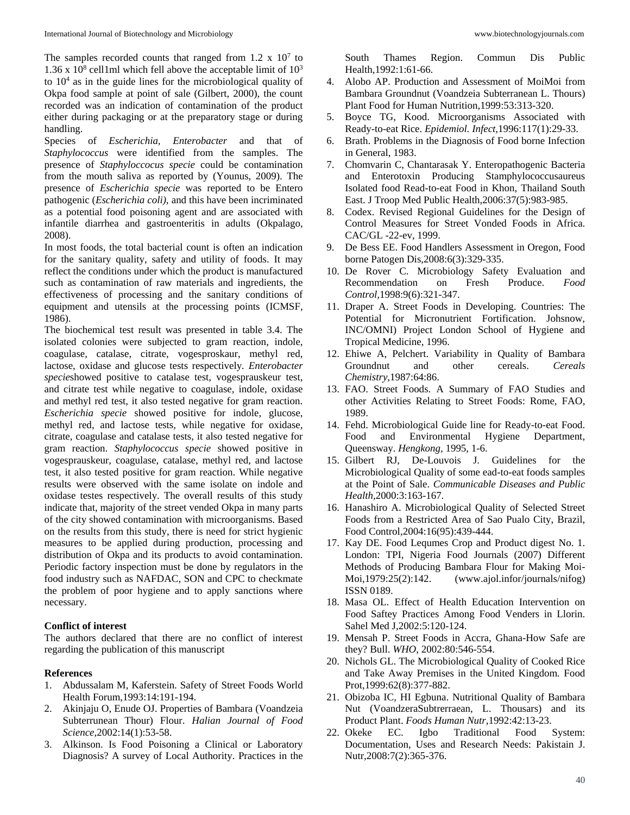The samples recorded counts that ranged from  $1.2 \times 10^7$  to 1.36 x  $10^8$  cell1ml which fell above the acceptable limit of  $10^3$ to 10<sup>4</sup> as in the guide lines for the microbiological quality of Okpa food sample at point of sale (Gilbert, 2000), the count recorded was an indication of contamination of the product either during packaging or at the preparatory stage or during handling.

Species of *Escherichia, Enterobacter* and that of *Staphylococcus* were identified from the samples. The presence of *Staphyloccocus specie* could be contamination from the mouth saliva as reported by (Younus, 2009). The presence of *Escherichia specie* was reported to be Entero pathogenic (*Escherichia coli),* and this have been incriminated as a potential food poisoning agent and are associated with infantile diarrhea and gastroenteritis in adults (Okpalago, 2008).

In most foods, the total bacterial count is often an indication for the sanitary quality, safety and utility of foods. It may reflect the conditions under which the product is manufactured such as contamination of raw materials and ingredients, the effectiveness of processing and the sanitary conditions of equipment and utensils at the processing points (ICMSF, 1986).

The biochemical test result was presented in table 3.4. The isolated colonies were subjected to gram reaction, indole, coagulase, catalase, citrate, vogesproskaur, methyl red, lactose, oxidase and glucose tests respectively*. Enterobacter specie*showed positive to catalase test, vogesprauskeur test, and citrate test while negative to coagulase, indole, oxidase and methyl red test, it also tested negative for gram reaction. *Escherichia specie* showed positive for indole, glucose, methyl red, and lactose tests, while negative for oxidase, citrate, coagulase and catalase tests, it also tested negative for gram reaction. *Staphylococcus specie* showed positive in vogesprauskeur, coagulase, catalase, methyl red, and lactose test, it also tested positive for gram reaction. While negative results were observed with the same isolate on indole and oxidase testes respectively. The overall results of this study indicate that, majority of the street vended Okpa in many parts of the city showed contamination with microorganisms. Based on the results from this study, there is need for strict hygienic measures to be applied during production, processing and distribution of Okpa and its products to avoid contamination. Periodic factory inspection must be done by regulators in the food industry such as NAFDAC, SON and CPC to checkmate the problem of poor hygiene and to apply sanctions where necessary.

#### **Conflict of interest**

The authors declared that there are no conflict of interest regarding the publication of this manuscript

### **References**

- 1. Abdussalam M, Kaferstein. Safety of Street Foods World Health Forum,1993:14:191-194.
- 2. Akinjaju O, Enude OJ. Properties of Bambara (Voandzeia Subterrunean Thour) Flour. *Halian Journal of Food Science*,2002:14(1):53-58.
- 3. Alkinson. Is Food Poisoning a Clinical or Laboratory Diagnosis? A survey of Local Authority. Practices in the

South Thames Region. Commun Dis Public Health,1992:1:61-66.

- 4. Alobo AP. Production and Assessment of MoiMoi from Bambara Groundnut (Voandzeia Subterranean L. Thours) Plant Food for Human Nutrition,1999:53:313-320.
- 5. Boyce TG, Kood. Microorganisms Associated with Ready-to-eat Rice. *Epidemiol. Infect,*1996:117(1):29-33.
- 6. Brath. Problems in the Diagnosis of Food borne Infection in General, 1983.
- 7. Chomvarin C, Chantarasak Y. Enteropathogenic Bacteria and Enterotoxin Producing Stamphylococcusaureus Isolated food Read-to-eat Food in Khon, Thailand South East. J Troop Med Public Health,2006:37(5):983-985.
- 8. Codex. Revised Regional Guidelines for the Design of Control Measures for Street Vonded Foods in Africa. CAC/GL -22-ev, 1999.
- 9. De Bess EE. Food Handlers Assessment in Oregon, Food borne Patogen Dis,2008:6(3):329-335.
- 10. De Rover C. Microbiology Safety Evaluation and Recommendation on Fresh Produce. *Food Control,*1998:9(6):321-347.
- 11. Draper A. Street Foods in Developing. Countries: The Potential for Micronutrient Fortification. Johsnow, INC/OMNI) Project London School of Hygiene and Tropical Medicine, 1996.
- 12. Ehiwe A, Pelchert. Variability in Quality of Bambara Groundnut and other cereals. *Cereals Chemistry*,1987:64:86.
- 13. FAO. Street Foods. A Summary of FAO Studies and other Activities Relating to Street Foods: Rome, FAO, 1989.
- 14. Fehd. Microbiological Guide line for Ready-to-eat Food. Food and Environmental Hygiene Department, Queensway. *Hengkong,* 1995, 1-6.
- 15. Gilbert RJ, De-Louvois J. Guidelines for the Microbiological Quality of some ead-to-eat foods samples at the Point of Sale. *Communicable Diseases and Public Health,*2000:3:163-167.
- 16. Hanashiro A. Microbiological Quality of Selected Street Foods from a Restricted Area of Sao Pualo City, Brazil, Food Control,2004:16(95):439-444.
- 17. Kay DE. Food Lequmes Crop and Product digest No. 1. London: TPI, Nigeria Food Journals (2007) Different Methods of Producing Bambara Flour for Making Moi-Moi,1979:25(2):142. (www.ajol.infor/journals/nifog) ISSN 0189.
- 18. Masa OL. Effect of Health Education Intervention on Food Saftey Practices Among Food Venders in Llorin. Sahel Med J,2002:5:120-124.
- 19. Mensah P. Street Foods in Accra, Ghana-How Safe are they? Bull. *WHO*, 2002:80:546-554.
- 20. Nichols GL. The Microbiological Quality of Cooked Rice and Take Away Premises in the United Kingdom*.* Food Prot,1999:62(8):377-882.
- 21. Obizoba IC, HI Egbuna. Nutritional Quality of Bambara Nut (VoandzeraSubtrerraean, L. Thousars) and its Product Plant. *Foods Human Nutr*,1992:42:13-23.
- 22. Okeke EC. Igbo Traditional Food System: Documentation, Uses and Research Needs: Pakistain J. Nutr*,*2008:7(2):365-376.